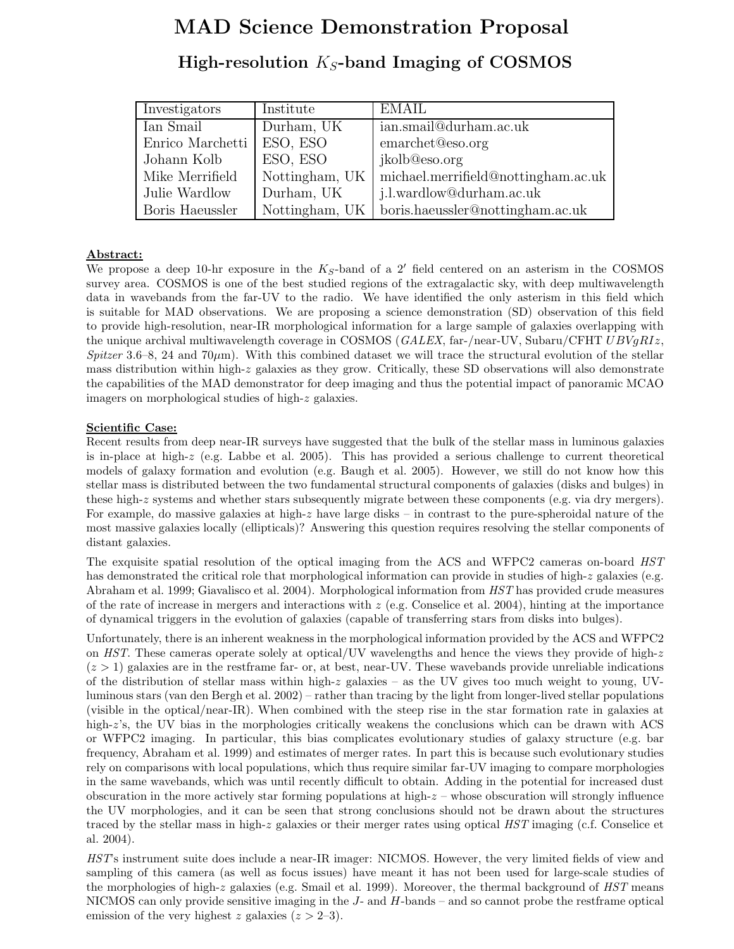# MAD Science Demonstration Proposal

## High-resolution  $K_S$ -band Imaging of COSMOS

| Investigators    | Institute      | EMAIL                                             |
|------------------|----------------|---------------------------------------------------|
| Ian Smail        | Durham, UK     | ian.smail@durham.ac.uk                            |
| Enrico Marchetti | ESO, ESO       | emarchet@eso.org                                  |
| Johann Kolb      | ESO, ESO       | jkolb@eso.org                                     |
| Mike Merrifield  | Nottingham, UK | michael.merrifield@nottingham.ac.uk               |
| Julie Wardlow    | Durham, UK     | j.l.wardlow@durham.ac.uk                          |
| Boris Haeussler  |                | Nottingham, UK   boris.haeussler@nottingham.ac.uk |

### Abstract:

We propose a deep 10-hr exposure in the  $K_S$ -band of a 2' field centered on an asterism in the COSMOS survey area. COSMOS is one of the best studied regions of the extragalactic sky, with deep multiwavelength data in wavebands from the far-UV to the radio. We have identified the only asterism in this field which is suitable for MAD observations. We are proposing a science demonstration (SD) observation of this field to provide high-resolution, near-IR morphological information for a large sample of galaxies overlapping with the unique archival multiwavelength coverage in COSMOS ( $GALEX$ , far-/near-UV, Subaru/CFHT  $UBVgRIz$ , Spitzer 3.6–8, 24 and 70 $\mu$ m). With this combined dataset we will trace the structural evolution of the stellar mass distribution within high-z galaxies as they grow. Critically, these SD observations will also demonstrate the capabilities of the MAD demonstrator for deep imaging and thus the potential impact of panoramic MCAO imagers on morphological studies of high-z galaxies.

#### Scientific Case:

Recent results from deep near-IR surveys have suggested that the bulk of the stellar mass in luminous galaxies is in-place at high-z (e.g. Labbe et al. 2005). This has provided a serious challenge to current theoretical models of galaxy formation and evolution (e.g. Baugh et al. 2005). However, we still do not know how this stellar mass is distributed between the two fundamental structural components of galaxies (disks and bulges) in these high-z systems and whether stars subsequently migrate between these components (e.g. via dry mergers). For example, do massive galaxies at high-z have large disks – in contrast to the pure-spheroidal nature of the most massive galaxies locally (ellipticals)? Answering this question requires resolving the stellar components of distant galaxies.

The exquisite spatial resolution of the optical imaging from the ACS and WFPC2 cameras on-board HST has demonstrated the critical role that morphological information can provide in studies of high-z galaxies (e.g. Abraham et al. 1999; Giavalisco et al. 2004). Morphological information from HST has provided crude measures of the rate of increase in mergers and interactions with  $z$  (e.g. Conselice et al. 2004), hinting at the importance of dynamical triggers in the evolution of galaxies (capable of transferring stars from disks into bulges).

Unfortunately, there is an inherent weakness in the morphological information provided by the ACS and WFPC2 on HST. These cameras operate solely at optical/UV wavelengths and hence the views they provide of high- $z$  $(z > 1)$  galaxies are in the restframe far- or, at best, near-UV. These wavebands provide unreliable indications of the distribution of stellar mass within high-z galaxies – as the UV gives too much weight to young, UVluminous stars (van den Bergh et al. 2002) – rather than tracing by the light from longer-lived stellar populations (visible in the optical/near-IR). When combined with the steep rise in the star formation rate in galaxies at high-z's, the UV bias in the morphologies critically weakens the conclusions which can be drawn with ACS or WFPC2 imaging. In particular, this bias complicates evolutionary studies of galaxy structure (e.g. bar frequency, Abraham et al. 1999) and estimates of merger rates. In part this is because such evolutionary studies rely on comparisons with local populations, which thus require similar far-UV imaging to compare morphologies in the same wavebands, which was until recently difficult to obtain. Adding in the potential for increased dust obscuration in the more actively star forming populations at high- $z$  – whose obscuration will strongly influence the UV morphologies, and it can be seen that strong conclusions should not be drawn about the structures traced by the stellar mass in high-z galaxies or their merger rates using optical HST imaging (c.f. Conselice et al. 2004).

HST's instrument suite does include a near-IR imager: NICMOS. However, the very limited fields of view and sampling of this camera (as well as focus issues) have meant it has not been used for large-scale studies of the morphologies of high-z galaxies (e.g. Smail et al. 1999). Moreover, the thermal background of  $HST$  means NICMOS can only provide sensitive imaging in the  $J$ - and  $H$ -bands – and so cannot probe the restframe optical emission of the very highest z galaxies  $(z > 2-3)$ .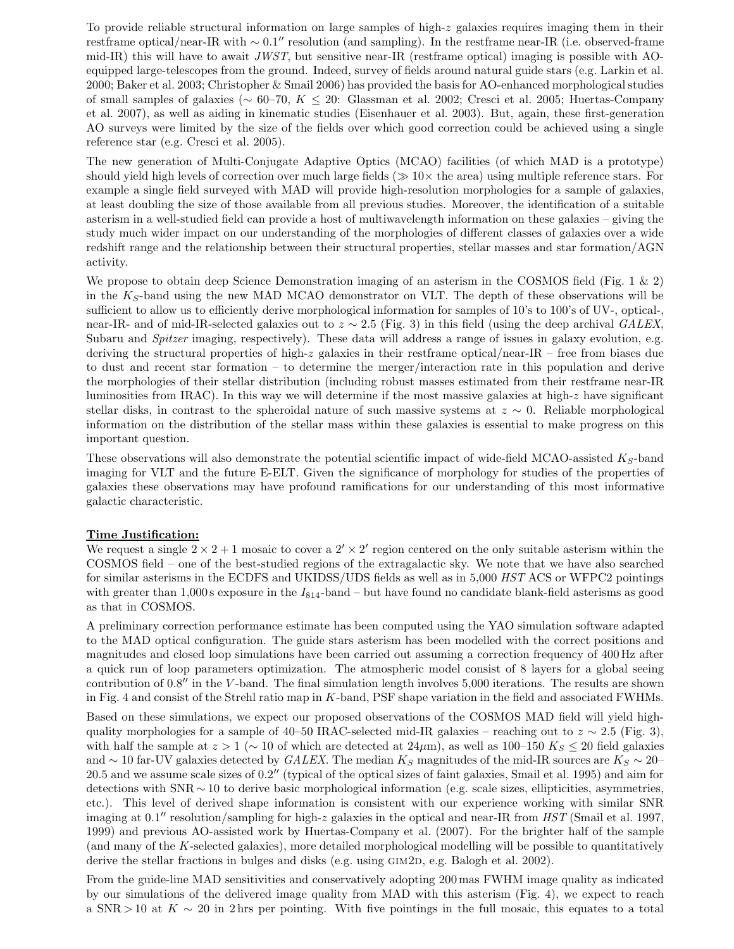To provide reliable structural information on large samples of high-z galaxies requires imaging them in their restframe optical/near-IR with ~ 0.1″ resolution (and sampling). In the restframe near-IR (i.e. observed-frame mid-IR) this will have to await  $JWST$ , but sensitive near-IR (restframe optical) imaging is possible with AOequipped large-telescopes from the ground. Indeed, survey of fields around natural guide stars (e.g. Larkin et al. 2000; Baker et al. 2003; Christopher & Smail 2006) has provided the basis for AO-enhanced morphological studies of small samples of galaxies (∼ 60–70, K ≤ 20: Glassman et al. 2002; Cresci et al. 2005; Huertas-Company et al. 2007), as well as aiding in kinematic studies (Eisenhauer et al. 2003). But, again, these first-generation AO surveys were limited by the size of the fields over which good correction could be achieved using a single reference star (e.g. Cresci et al. 2005).

The new generation of Multi-Conjugate Adaptive Optics (MCAO) facilities (of which MAD is a prototype) should yield high levels of correction over much large fields ( $\gg 10\times$  the area) using multiple reference stars. For example a single field surveyed with MAD will provide high-resolution morphologies for a sample of galaxies, at least doubling the size of those available from all previous studies. Moreover, the identification of a suitable asterism in a well-studied field can provide a host of multiwavelength information on these galaxies – giving the study much wider impact on our understanding of the morphologies of different classes of galaxies over a wide redshift range and the relationship between their structural properties, stellar masses and star formation/AGN activity.

We propose to obtain deep Science Demonstration imaging of an asterism in the COSMOS field (Fig. 1 & 2) in the  $K<sub>S</sub>$ -band using the new MAD MCAO demonstrator on VLT. The depth of these observations will be sufficient to allow us to efficiently derive morphological information for samples of 10's to 100's of UV-, optical-, near-IR- and of mid-IR-selected galaxies out to  $z \sim 2.5$  (Fig. 3) in this field (using the deep archival GALEX, Subaru and Spitzer imaging, respectively). These data will address a range of issues in galaxy evolution, e.g. deriving the structural properties of high-z galaxies in their restframe optical/near-IR – free from biases due to dust and recent star formation – to determine the merger/interaction rate in this population and derive the morphologies of their stellar distribution (including robust masses estimated from their restframe near-IR luminosities from IRAC). In this way we will determine if the most massive galaxies at high-z have significant stellar disks, in contrast to the spheroidal nature of such massive systems at z ∼ 0. Reliable morphological information on the distribution of the stellar mass within these galaxies is essential to make progress on this important question.

These observations will also demonstrate the potential scientific impact of wide-field MCAO-assisted  $K_S$ -band imaging for VLT and the future E-ELT. Given the significance of morphology for studies of the properties of galaxies these observations may have profound ramifications for our understanding of this most informative galactic characteristic.

#### Time Justification:

We request a single  $2 \times 2 + 1$  mosaic to cover a  $2' \times 2'$  region centered on the only suitable asterism within the COSMOS field – one of the best-studied regions of the extragalactic sky. We note that we have also searched for similar asterisms in the ECDFS and UKIDSS/UDS fields as well as in 5,000 HST ACS or WFPC2 pointings with greater than 1,000 s exposure in the  $I_{814}$ -band – but have found no candidate blank-field asterisms as good as that in COSMOS.

A preliminary correction performance estimate has been computed using the YAO simulation software adapted to the MAD optical configuration. The guide stars asterism has been modelled with the correct positions and magnitudes and closed loop simulations have been carried out assuming a correction frequency of 400 Hz after a quick run of loop parameters optimization. The atmospheric model consist of 8 layers for a global seeing contribution of 0.8′′ in the V -band. The final simulation length involves 5,000 iterations. The results are shown in Fig. 4 and consist of the Strehl ratio map in K-band, PSF shape variation in the field and associated FWHMs.

Based on these simulations, we expect our proposed observations of the COSMOS MAD field will yield highquality morphologies for a sample of 40–50 IRAC-selected mid-IR galaxies – reaching out to  $z \sim 2.5$  (Fig. 3), with half the sample at  $z > 1$  ( $\sim 10$  of which are detected at  $24\mu$ m), as well as  $100-150$  K<sub>S</sub>  $\leq 20$  field galaxies and ∼ 10 far-UV galaxies detected by GALEX. The median  $K_S$  magnitudes of the mid-IR sources are  $K_S \sim 20-$ 20.5 and we assume scale sizes of 0.2′′ (typical of the optical sizes of faint galaxies, Smail et al. 1995) and aim for detections with SNR ∼ 10 to derive basic morphological information (e.g. scale sizes, ellipticities, asymmetries, etc.). This level of derived shape information is consistent with our experience working with similar SNR imaging at  $0.1''$  resolution/sampling for high-z galaxies in the optical and near-IR from HST (Smail et al. 1997, 1999) and previous AO-assisted work by Huertas-Company et al. (2007). For the brighter half of the sample (and many of the K-selected galaxies), more detailed morphological modelling will be possible to quantitatively derive the stellar fractions in bulges and disks (e.g. using  $GIM2D$ , e.g. Balogh et al. 2002).

From the guide-line MAD sensitivities and conservatively adopting 200 mas FWHM image quality as indicated by our simulations of the delivered image quality from MAD with this asterism (Fig. 4), we expect to reach a SNR > 10 at  $K \sim 20$  in 2 hrs per pointing. With five pointings in the full mosaic, this equates to a total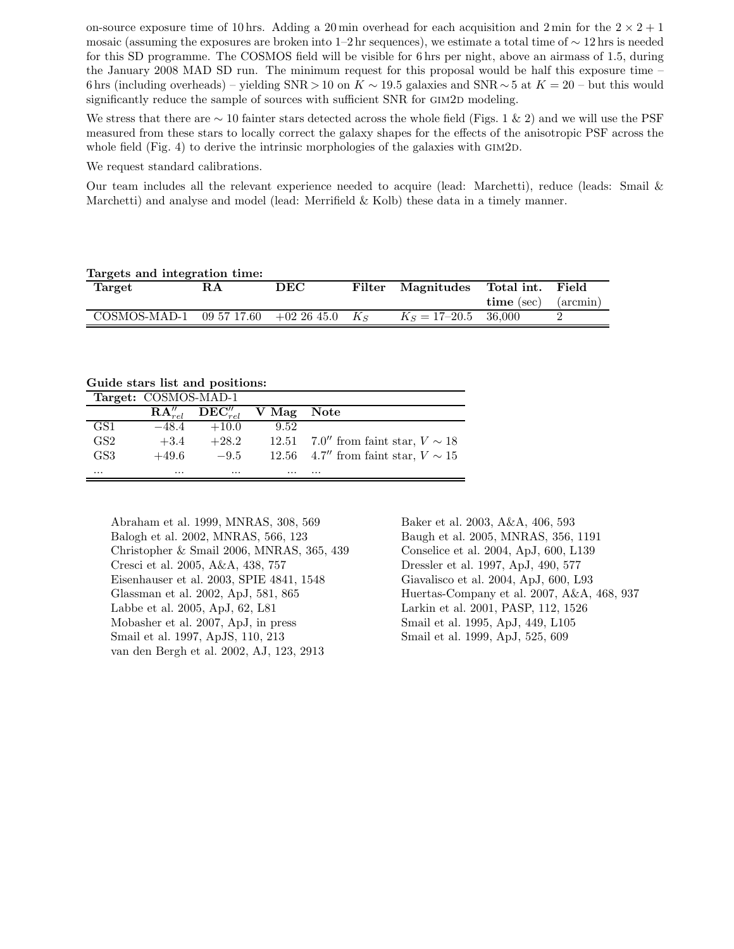on-source exposure time of 10 hrs. Adding a 20 min overhead for each acquisition and 2 min for the  $2 \times 2 + 1$ mosaic (assuming the exposures are broken into 1–2 hr sequences), we estimate a total time of  $\sim 12 \text{ hrs}$  is needed for this SD programme. The COSMOS field will be visible for 6 hrs per night, above an airmass of 1.5, during the January 2008 MAD SD run. The minimum request for this proposal would be half this exposure time – 6 hrs (including overheads) – yielding SNR > 10 on K  $\sim$  19.5 galaxies and SNR  $\sim$  5 at  $K = 20$  – but this would significantly reduce the sample of sources with sufficient SNR for GIM2D modeling.

We stress that there are  $\sim 10$  fainter stars detected across the whole field (Figs. 1 & 2) and we will use the PSF measured from these stars to locally correct the galaxy shapes for the effects of the anisotropic PSF across the whole field (Fig. 4) to derive the intrinsic morphologies of the galaxies with GIM2D.

We request standard calibrations.

Our team includes all the relevant experience needed to acquire (lead: Marchetti), reduce (leads: Smail & Marchetti) and analyse and model (lead: Merrifield & Kolb) these data in a timely manner.

| Targets and integration time:              |     |     |        |                             |            |               |  |  |
|--------------------------------------------|-----|-----|--------|-----------------------------|------------|---------------|--|--|
| Target                                     | R.A | DEC | Filter | Magnitudes Total int. Field |            |               |  |  |
|                                            |     |     |        |                             | time (sec) | $\frac{1}{2}$ |  |  |
| COSMOS-MAD-1 09 57 17.60 +02 26 45.0 $K_S$ |     |     |        | $K_s = 17 - 20.5$ 36,000    |            |               |  |  |
|                                            |     |     |        |                             |            |               |  |  |

Guide stars list and positions:

|                 | Target: COSMOS-MAD-1 |                                       |          |                                         |
|-----------------|----------------------|---------------------------------------|----------|-----------------------------------------|
|                 |                      | $RA''_{rel}$ $DEC''_{rel}$ V Mag Note |          |                                         |
| GS1             | $-48.4$              | $+10.0$                               | 9.52     |                                         |
| GS <sub>2</sub> | $+3.4$               | $+28.2$                               |          | 12.51 7.0" from faint star, $V \sim 18$ |
| GS3             | $+49.6$              | $-9.5$                                |          | 12.56 4.7" from faint star, $V \sim 15$ |
| $\cdots$        | $\cdots$             | $\cdots$                              | $\cdots$ | $\cdots$                                |

Abraham et al. 1999, MNRAS, 308, 569 Baker et al. 2003, A&A, 406, 593 Balogh et al. 2002, MNRAS, 566, 123 Baugh et al. 2005, MNRAS, 356, 1191 Christopher & Smail 2006, MNRAS, 365, 439 Conselice et al. 2004, ApJ, 600, L139 Cresci et al. 2005, A&A, 438, 757 Dressler et al. 1997, ApJ, 490, 577 Eisenhauser et al. 2003, SPIE 4841, 1548 Giavalisco et al. 2004, ApJ, 600, L93 Labbe et al. 2005, ApJ, 62, L81 Larkin et al. 2001, PASP, 112, 1526 Mobasher et al. 2007, ApJ, in press Smail et al. 1995, ApJ, 449, L105 Smail et al. 1997, ApJS, 110, 213 Smail et al. 1999, ApJ, 525, 609 van den Bergh et al. 2002, AJ, 123, 2913

Glassman et al. 2002, ApJ, 581, 865 Huertas-Company et al. 2007, A&A, 468, 937